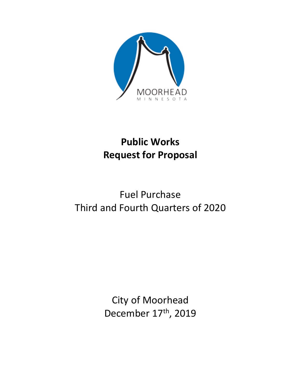

## **Public Works Request for Proposal**

# Fuel Purchase Third and Fourth Quarters of 2020

City of Moorhead December 17<sup>th</sup>, 2019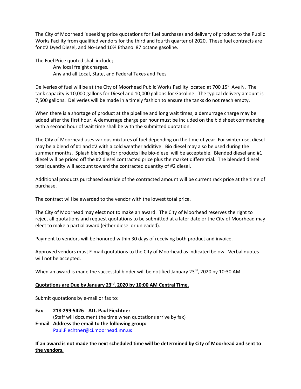The City of Moorhead is seeking price quotations for fuel purchases and delivery of product to the Public Works Facility from qualified vendors for the third and fourth quarter of 2020. These fuel contracts are for #2 Dyed Diesel, and No-Lead 10% Ethanol 87 octane gasoline.

The Fuel Price quoted shall include;

Any local freight charges. Any and all Local, State, and Federal Taxes and Fees

Deliveries of fuel will be at the City of Moorhead Public Works Facility located at 700 15<sup>th</sup> Ave N. The tank capacity is 10,000 gallons for Diesel and 10,000 gallons for Gasoline. The typical delivery amount is 7,500 gallons. Deliveries will be made in a timely fashion to ensure the tanks do not reach empty.

When there is a shortage of product at the pipeline and long wait times, a demurrage charge may be added after the first hour. A demurrage charge per hour must be included on the bid sheet commencing with a second hour of wait time shall be with the submitted quotation.

The City of Moorhead uses various mixtures of fuel depending on the time of year. For winter use, diesel may be a blend of #1 and #2 with a cold weather additive. Bio diesel may also be used during the summer months. Splash blending for products like bio-diesel will be acceptable. Blended diesel and #1 diesel will be priced off the #2 diesel contracted price plus the market differential. The blended diesel total quantity will account toward the contracted quantity of #2 diesel.

Additional products purchased outside of the contracted amount will be current rack price at the time of purchase.

The contract will be awarded to the vendor with the lowest total price.

The City of Moorhead may elect not to make an award. The City of Moorhead reserves the right to reject all quotations and request quotations to be submitted at a later date or the City of Moorhead may elect to make a partial award (either diesel or unleaded).

Payment to vendors will be honored within 30 days of receiving both product and invoice.

Approved vendors must E-mail quotations to the City of Moorhead as indicated below. Verbal quotes will not be accepted.

When an award is made the successful bidder will be notified January 23<sup>rd</sup>, 2020 by 10:30 AM.

## **Quotations are Due by January 23rd, 2020 by 10:00 AM Central Time.**

Submit quotations by e-mail or fax to:

**Fax 218-299-5426 Att. Paul Fiechtner** (Staff will document the time when quotations arrive by fax) **E-mail Address the email to the following group:** Paul.Fiechtner@ci.moorhead.mn.us

## **If an award is not made the next scheduled time will be determined by City of Moorhead and sent to the vendors.**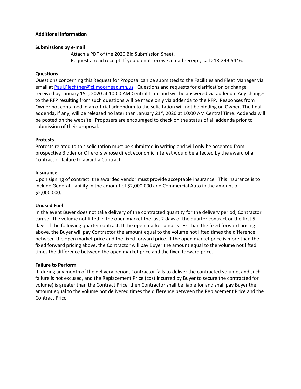## **Additional information**

#### **Submissions by e-mail**

Attach a PDF of the 2020 Bid Submission Sheet. Request a read receipt. If you do not receive a read receipt, call 218-299-5446.

#### **Questions**

Questions concerning this Request for Proposal can be submitted to the Facilities and Fleet Manager via email a[t Paul.Fiechtner@ci.moorhead.mn.us.](mailto:Paul.Fiechtner@ci.moorhead.mn.us) Questions and requests for clarification or change received by January 15th, 2020 at 10:00 AM Central Time and will be answered via addenda. Any changes to the RFP resulting from such questions will be made only via addenda to the RFP. Responses from Owner not contained in an official addendum to the solicitation will not be binding on Owner. The final addenda, if any, will be released no later than January 21<sup>st</sup>, 2020 at 10:00 AM Central Time. Addenda will be posted on the website. Proposers are encouraged to check on the status of all addenda prior to submission of their proposal.

#### **Protests**

Protests related to this solicitation must be submitted in writing and will only be accepted from prospective Bidder or Offerors whose direct economic interest would be affected by the award of a Contract or failure to award a Contract.

#### **Insurance**

Upon signing of contract, the awarded vendor must provide acceptable insurance. This insurance is to include General Liability in the amount of \$2,000,000 and Commercial Auto in the amount of \$2,000,000.

#### **Unused Fuel**

In the event Buyer does not take delivery of the contracted quantity for the delivery period, Contractor can sell the volume not lifted in the open market the last 2 days of the quarter contract or the first 5 days of the following quarter contract. If the open market price is less than the fixed forward pricing above, the Buyer will pay Contractor the amount equal to the volume not lifted times the difference between the open market price and the fixed forward price. If the open market price is more than the fixed forward pricing above, the Contractor will pay Buyer the amount equal to the volume not lifted times the difference between the open market price and the fixed forward price.

## **Failure to Perform**

If, during any month of the delivery period, Contractor fails to deliver the contracted volume, and such failure is not excused, and the Replacement Price (cost incurred by Buyer to secure the contracted for volume) is greater than the Contract Price, then Contractor shall be liable for and shall pay Buyer the amount equal to the volume not delivered times the difference between the Replacement Price and the Contract Price.